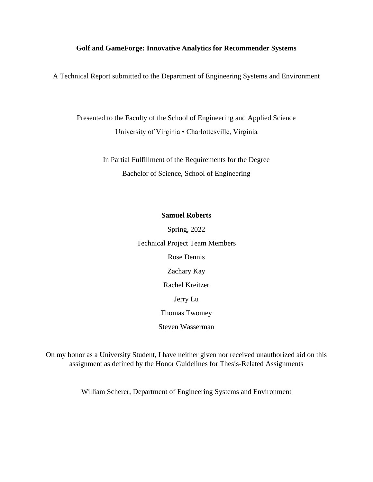# **Golf and GameForge: Innovative Analytics for Recommender Systems**

A Technical Report submitted to the Department of Engineering Systems and Environment

Presented to the Faculty of the School of Engineering and Applied Science University of Virginia • Charlottesville, Virginia

> In Partial Fulfillment of the Requirements for the Degree Bachelor of Science, School of Engineering

# **Samuel Roberts**

Spring, 2022 Technical Project Team Members Rose Dennis Zachary Kay Rachel Kreitzer Jerry Lu Thomas Twomey Steven Wasserman

On my honor as a University Student, I have neither given nor received unauthorized aid on this assignment as defined by the Honor Guidelines for Thesis-Related Assignments

William Scherer, Department of Engineering Systems and Environment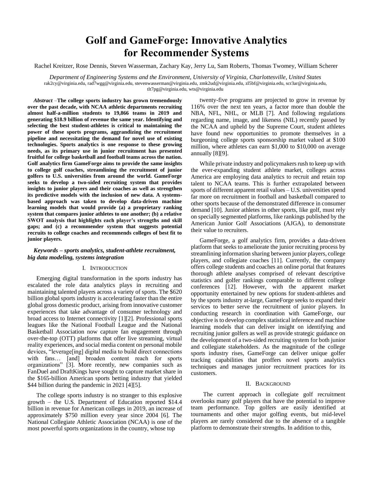# **Golf and GameForge: Innovative Analytics for Recommender Systems**

Rachel Kreitzer, Rose Dennis, Steven Wasserman, Zachary Kay, Jerry Lu, Sam Roberts, Thomas Twomey, William Scherer

*Department of Engineering Systems and the Environment, University of Virginia, Charlottesville, United States* rak2cy@virginia.edu, rad7wgg@virginia.edu, stevenwasserman@virginia.edu, zmk2ud@virginia.edu, zl5bf@virginia.edu, scr3ar@virginia.edu, tlt7pg@virginia.edu, wts@virginia.edu

*Abstract –***The college sports industry has grown tremendously over the past decade, with NCAA athletic departments recruiting almost half-a-million students to 19,866 teams in 2019 and generating \$18.9 billion of revenue the same year. Identifying and selecting the best student-athletes is critical to maintaining the power of these sports programs, aggrandizing the recruitment pipeline and necessitating the demand for novel use of existing technologies. Sports analytics is one response to these growing needs, as its primary use in junior recruitment has presented fruitful for college basketball and football teams across the nation. Golf analytics firm GameForge aims to provide the same insights to college golf coaches, streamlining the recruitment of junior golfers to U.S. universities from around the world. GameForge seeks to develop a two-sided recruiting system that provides insights to junior players and their coaches as well as strengthen its predictive models with the inclusion of new data. A systemsbased approach was taken to develop data-driven machine learning models that would provide (a) a proprietary ranking system that compares junior athletes to one another; (b) a relative SWOT analysis that highlights each player's strengths and skill gaps; and (c) a recommender system that suggests potential recruits to college coaches and recommends colleges of best fit to junior players.** 

# *Keywords – sports analytics, student-athlete recruitment, big data modeling, systems integration*

# I. INTRODUCTION

Emerging digital transformation in the sports industry has escalated the role data analytics plays in recruiting and maintaining talented players across a variety of sports. The \$620 billion global sports industry is accelerating faster than the entire global gross domestic product, arising from innovative customer experiences that take advantage of consumer technology and broad access to Internet connectivity [\[1\]](#page-6-0)[\[2\].](#page-6-1) Professional sports leagues like the National Football League and the National Basketball Association now capture fan engagement through over-the-top (OTT) platforms that offer live streaming, virtual reality experiences, and social media content on personal mobile devices, "leverage[ing] digital media to build direct connections with fans… [and] broaden content reach for sports organizations" [\[3\].](#page-6-2) More recently, new companies such as FanDuel and DraftKings have sought to capture market share in the \$165-billion American sports betting industry that yielded \$44 billion during the pandemic in 2021 [\[4\]](#page-6-3)[\[5\].](#page-6-4)

The college sports industry is no stranger to this explosive growth – the U.S. Department of Education reported \$14.4 billion in revenue for American colleges in 2019, an increase of approximately \$750 million every year since 2004 [\[6\].](#page-6-5) The National Collegiate Athletic Association (NCAA) is one of the most powerful sports organizations in the country, whose top

twenty-five programs are projected to grow in revenue by 116% over the next ten years, a factor more than double the NBA, NFL, NHL, or MLB [\[7\].](#page-6-6) And following regulations regarding name, image, and likeness (NIL) recently passed by the NCAA and upheld by the Supreme Court, student athletes have found new opportunities to promote themselves in a burgeoning college sports sponsorship market valued at \$100 million, where athletes can earn \$1,000 to \$10,000 on average annuall[y \[8\]](#page-6-7)[\[9\].](#page-6-8)

While private industry and policymakers rush to keep up with the ever-expanding student athlete market, colleges across America are employing data analytics to recruit and retain top talent to NCAA teams. This is further extrapolated between sports of different apparent retail values – U.S. universities spend far more on recruitment in football and basketball compared to other sports because of the demonstrated difference in consumer demand [\[10\].](#page-6-9) Junior athletes in other sports, like golf, must rely on specially segmented platforms, like rankings published by the American Junior Golf Associations (AJGA), to demonstrate their value to recruiters.

GameForge, a golf analytics firm, provides a data-driven platform that seeks to ameliorate the junior recruiting process by streamlining information sharing between junior players, college players, and collegiate coaches [\[11\].](#page-6-10) Currently, the company offers college students and coaches an online portal that features thorough athlete analyses comprised of relevant descriptive statistics and golfer rankings comparable to different college conferences [\[12\].](#page-6-11) However, with the apparent market opportunity entertained by new options for student-athletes and by the sports industry at-large, GameForge seeks to expand their services to better serve the recruitment of junior players. In conducting research in coordination with GameForge, our objective is to develop complex statistical inference and machine learning models that can deliver insight on identifying and recruiting junior golfers as well as provide strategic guidance on the development of a two-sided recruiting system for both junior and collegiate stakeholders. As the magnitude of the college sports industry rises, GameForge can deliver unique golfer tracking capabilities that proffers novel sports analytics techniques and manages junior recruitment practices for its customers.

#### II. BACKGROUND

The current approach in collegiate golf recruitment overlooks many golf players that have the potential to improve team performance. Top golfers are easily identified at tournaments and other major golfing events, but mid-level players are rarely considered due to the absence of a tangible platform to demonstrate their strengths. In addition to this,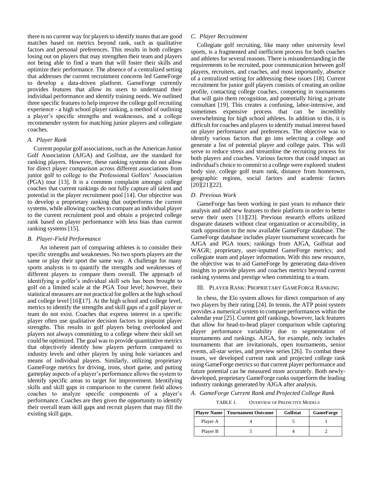there is no current way for players to identify teams that are good matches based on metrics beyond rank, such as qualitative factors and personal preferences. This results in both colleges losing out on players that may strengthen their team and players not being able to find a team that will foster their skills and optimize their performance. The absence of a centralized setting that addresses the current recruitment concerns led GameForge to develop a data-driven platform. GameForge currently provides features that allow its users to understand their individual performance and identify training needs. We outlined three specific features to help improve the college golf recruiting experience - a high school player ranking, a method of outlining a player's specific strengths and weaknesses, and a college recommender system for matching junior players and collegiate coaches.

#### *A. Player Rank*

Current popular golf associations, such as the American Junior Golf Association (AJGA) and Golfstat, are the standard for ranking players. However, these ranking systems do not allow for direct player comparison across different associations from junior golf to college to the Professional Golfers' Association (PGA) tour [\[13\].](#page-6-12) It is a common complaint amongst college coaches that current rankings do not fully capture all talent and potential in the player recruitment pool [\[14\].](#page-6-13) Our objective was to develop a proprietary ranking that outperforms the current systems, while allowing coaches to compare an individual player to the current recruitment pool and obtain a projected college rank based on player performance with less bias than current ranking systems [\[15\].](#page-6-14)

#### *B. Player-Field Performance*

An inherent part of comparing athletes is to consider their specific strengths and weaknesses. No two sports players are the same or play their sport the same way. A challenge for many sports analysts is to quantify the strengths and weaknesses of different players to compare them overall. The approach of identifying a golfer's individual skill sets has been brought to golf on a limited scale at the PGA Tour level; however, their statistical measures are not practical for golfers at the high school and college level [\[16\]](#page-6-15)[\[17\].](#page-6-16) At the high school and college level, metrics to identify the strengths and skill gaps of a golf player or team do not exist. Coaches that express interest in a specific player often use qualitative decision factors to pinpoint player strengths. This results in golf players being overlooked and players not always committing to a college where their skill set could be optimized. The goal was to provide quantitative metrics that objectively identify how players perform compared to industry levels and other players by using hole variances and means of individual players. Similarly, utilizing proprietary GameForge metrics for driving, irons, short game, and putting gameplay aspects of a player's performance allows the system to identify specific areas to target for improvement. Identifying skills and skill gaps in comparison to the current field allows coaches to analyze specific components of a player's performance. Coaches are then given the opportunity to identify their overall team skill gaps and recruit players that may fill the existing skill gaps.

#### *C. Player Recruitment*

Collegiate golf recruiting, like many other university level sports, is a fragmented and inefficient process for both coaches and athletes for several reasons. There is misunderstanding in the requirements to be recruited, poor communication between golf players, recruiters, and coaches, and most importantly, absence of a centralized setting for addressing these issues [\[18\].](#page-6-17) Current recruitment for junior golf players consists of creating an online profile, contacting college coaches, competing in tournaments that will gain them recognition, and potentially hiring a private consultant [\[19\].](#page-6-18) This creates a confusing, labor-intensive, and sometimes expensive process that can be incredibly overwhelming for high school athletes. In addition to this, it is difficult for coaches and players to identify mutual interest based on player performance and preferences. The objective was to identify various factors that go into selecting a college and generate a list of potential player and college pairs. This will serve to reduce stress and streamline the recruiting process for both players and coaches. Various factors that could impact an individual's choice to commit to a college were explored: student body size, college golf team rank, distance from hometown, geographic regions, social factors and academic factors [\[20\]](#page-6-19)[\[21\]](#page-6-20)[\[22\].](#page-6-21)

#### *D. Previous Work*

GameForge has been working in past years to enhance their analysis and add new features to their platform in order to better serve their users [\[11\]](#page-6-10)[\[23\].](#page-6-22) Previous research efforts utilized disparate datasets without clear organization or accessibility, in stark opposition to the now available GameForge database. The GameForge database includes player tournament scorecards for AJGA and PGA tours; rankings from AJGA, Golfstat and WAGR; proprietary, user-inputted GameForge metrics; and collegiate team and player information. With this new resource, the objective was to aid GameForge by generating data-driven insights to provide players and coaches metrics beyond current ranking systems and prestige when committing to a team.

# III. PLAYER RANK: PROPRIETARY GAMEFORGE RANKING

In chess, the Elo system allows for direct comparison of any two players by their rating [\[24\].](#page-6-23) In tennis, the ATP point system provides a numerical system to compare performances within the calendar year [\[25\].](#page-6-24) Current golf rankings, however, lack features that allow for head-to-head player comparison while capturing player performance variability due to segmentation of tournaments and rankings. AJGA, for example, only includes tournaments that are invitationals, open tournaments, senior events, all-star series, and preview series [\[26\].](#page-6-25) To combat these issues, we developed current rank and projected college rank using GameForge metrics so that current player performance and future potential can be measured more accurately. Both newlydeveloped, proprietary GameForge ranks outperform the leading industry rankings generated by AJGA after analysis.

## <span id="page-2-0"></span>*A. GameForge Current Rank and Projected College Rank*

TABLE 1. OVERVIEW OF PREDICTIVE MODELS

|          | <b>Player Name   Tournament Outcome</b> | Golfstat | GameForge |
|----------|-----------------------------------------|----------|-----------|
| Player A |                                         |          |           |
| Player B |                                         |          |           |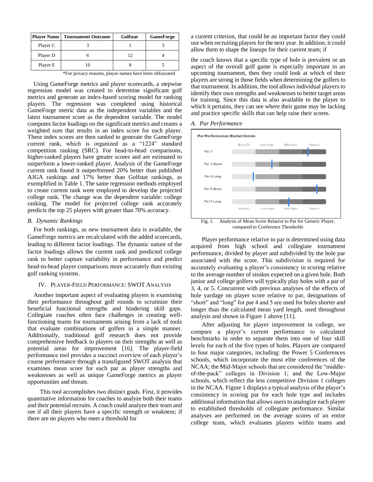| <b>Player Name</b> | <b>Tournament Outcome</b> | Golfstat | <b>GameForge</b> |
|--------------------|---------------------------|----------|------------------|
| Player C           |                           |          |                  |
| Player D           |                           |          |                  |
| Player E           |                           |          |                  |

\*For privacy reasons, player names have been obfuscated

Using GameForge metrics and player scorecards, a stepwise regression model was created to determine significant golf metrics and generate an index-based scoring model for ranking players. The regression was completed using historical GameForge metric data as the independent variables and the latest tournament score as the dependent variable. The model computes factor loadings on the significant metrics and creates a weighted sum that results in an index score for each player. These index scores are then ranked to generate the GameForge current rank, which is organized as a "1224" standard competition ranking (SRC). For head-to-head comparisons, higher-ranked players have greater scores and are estimated to outperform a lower-ranked player. Analysis of the GameForge current rank found it outperformed 20% better than published AJGA rankings and 17% better than Golfstat rankings, as exemplified in [Table 1.](#page-2-0) The same regression methods employed to create current rank were employed to develop the projected college rank. The change was the dependent variable: college ranking. The model for projected college rank accurately predicts the top 25 players with greater than 70% accuracy.

## *B. Dynamic Rankings*

For both rankings, as new tournament data is available, the GameForge metrics are recalculated with the added scorecards, leading to different factor loadings. The dynamic nature of the factor loadings allows the current rank and predicted college rank to better capture variability in performance and predict head-to-head player comparisons more accurately than existing golf ranking systems.

# IV. PLAYER-FIELD PERFORMANCE: SWOT ANALYSIS

Another important aspect of evaluating players is examining their performance throughout golf rounds to scrutinize their beneficial functional strengths and hindering skill gaps. Collegiate coaches often face challenges in creating wellfunctioning teams for tournaments arising from a lack of tools that evaluate combinations of golfers in a simple manner. Additionally, traditional golf research does not provide comprehensive feedback to players on their strengths as well as potential areas for improvement [\[16\].](#page-6-15) The player-field performance tool provides a succinct overview of each player's course performance through a transfigured SWOT analysis that examines mean score for each par as player strengths and weaknesses as well as unique GameForge metrics as player opportunities and threats.

This tool accomplishes two distinct goals. First, it provides quantitative information for coaches to analyze both their teams and their potential recruits. A coach could analyze their team and see if all their players have a specific strength or weakness; if there are no players who meet a threshold for

a current criterion, that could be an important factor they could use when recruiting players for the next year. In addition, it could allow them to shape the lineups for their current team; if

the coach knows that a specific type of hole is prevalent or an aspect of the overall golf game is especially important in an upcoming tournament, then they could look at which of their players are strong in those fields when determining the golfers to that tournament. In addition, the tool allows individual players to identify their own strengths and weaknesses to better target areas for training. Since this data is also available to the player to which it pertains, they can see where their game may be lacking and practice specific skills that can help raise their scores.

#### *A. Par Performance*

<span id="page-3-0"></span>

compared to Conference Thresholds

Player performance relative to par is determined using data acquired from high school and collegiate tournament performance, divided by player and subdivided by the hole par associated with the score. This subdivision is required for accurately evaluating a player's consistency in scoring relative to the average number of strokes expected on a given hole. Both junior and college golfers will typically play holes with a par of 3, 4, or 5. Concurrent with previous analyses of the effects of hole yardage on player score relative to par, designations of "short" and "long" for par 4 and 5 are used for holes shorter and longer than the calculated mean yard length, used throughout analysis and shown in [Figure 1 above](#page-3-0) [\[11\].](#page-6-10)

After adjusting for player improvement in college, we compare a player's current performance to calculated benchmarks in order to separate them into one of four skill levels for each of the five types of holes. Players are compared to four major categories, including: the Power 5 Conferences schools, which incorporate the most elite conferences of the NCAA; the Mid-Major schools that are considered the "middleof-the-pack" colleges in Division 1; and the Low-Major schools, which reflect the less competitive Division 1 colleges in the NCAA[.Figure 1](#page-3-0) displays a typical analysis of the player's consistency in scoring par for each hole type and includes additional information that allows users to analogize each player to established thresholds of collegiate performance. Similar analyses are performed on the average scores of an entire college team, which evaluates players within teams and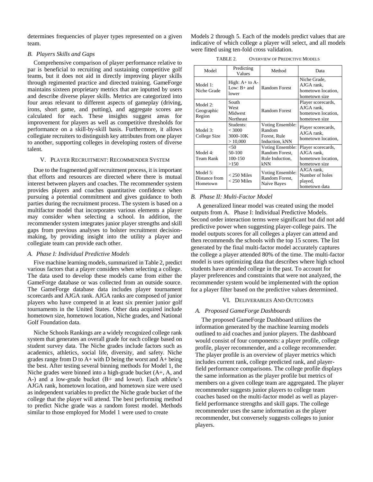determines frequencies of player types represented on a given team.

## *B. Players Skills and Gaps*

Comprehensive comparison of player performance relative to par is beneficial to recruiting and sustaining competitive golf teams, but it does not aid in directly improving player skills through regimented practice and directed training. GameForge maintains sixteen proprietary metrics that are inputted by users and describe diverse player skills. Metrics are categorized into four areas relevant to different aspects of gameplay (driving, irons, short game, and putting), and aggregate scores are calculated for each. These insights suggest areas for improvement for players as well as competitive thresholds for performance on a skill-by-skill basis. Furthermore, it allows collegiate recruiters to distinguish key attributes from one player to another, supporting colleges in developing rosters of diverse talent.

#### V. PLAYER RECRUITMENT: RECOMMENDER SYSTEM

Due to the fragmented golf recruitment process, it is important that efforts and resources are directed where there is mutual interest between players and coaches. The recommender system provides players and coaches quantitative confidence when pursuing a potential commitment and gives guidance to both parties during the recruitment process. The system is based on a multifactor model that incorporates various elements a player may consider when selecting a school. In addition, the recommender system integrates junior player strengths and skill gaps from previous analyses to bolster recruitment decisionmaking, by providing insight into the utility a player and collegiate team can provide each other.

#### <span id="page-4-1"></span>*A. Phase I: Individual Predictive Models*

Five machine learning models, summarized in [Table 2,](#page-4-0) predict various factors that a player considers when selecting a college. The data used to develop these models came from either the GameForge database or was collected from an outside source. The GameForge database data includes player tournament scorecards and AJGA rank. AJGA ranks are composed of junior players who have competed in at least six premier junior golf tournaments in the United States. Other data acquired include hometown size, hometown location, Niche grades, and National Golf Foundation data.

Niche Schools Rankings are a widely recognized college rank system that generates an overall grade for each college based on student survey data. The Niche grades include factors such as academics, athletics, social life, diversity, and safety. Niche grades range from D to  $A+$  with D being the worst and  $A+$  being the best. After testing several binning methods for Model 1, the Niche grades were binned into a high-grade bucket (A+, A, and A-) and a low-grade bucket (B+ and lower). Each athlete's AJGA rank, hometown location, and hometown size were used as independent variables to predict the Niche grade bucket of the college that the player will attend. The best performing method to predict Niche grade was a random forest model. Methods similar to those employed for Model 1 were used to create

Models 2 through 5. Each of the models predict values that are indicative of which college a player will select, and all models were fitted using ten-fold cross validation.

TABLE 2. OVERVIEW OF PREDICTIVE MODELS

<span id="page-4-0"></span>

| Model                                 | Predicting<br>Values                         | Method                                                       | Data                                                                    |
|---------------------------------------|----------------------------------------------|--------------------------------------------------------------|-------------------------------------------------------------------------|
| Model 1:<br>Niche Grade               | High: $A+$ to $A-$<br>Low: $B+$ and<br>lower | Random Forest                                                | Niche Grade,<br>AJGA rank,<br>hometown location,<br>hometown size       |
| Model 2:<br>Geographic<br>Region      | South<br>West<br>Midwest<br>Northeast        | Random Forest                                                | Player scorecards,<br>AJGA rank,<br>hometown location,<br>hometown size |
| Model 3:<br>College Size              | Students:<br>$<$ 3000<br>3000-10K<br>>10,000 | Voting Ensemble:<br>Random<br>Forest, Rule<br>Induction, kNN | Player scorecards,<br>AJGA rank.<br>hometown location,                  |
| Model 4:<br>Team Rank                 | < 50<br>50-100<br>100-150<br>>150            | Voting Ensemble:<br>Random Forest,<br>Rule Induction,<br>kNN | Player scorecards,<br>AJGA rank,<br>hometown location,<br>hometown size |
| Model 5:<br>Distance from<br>Hometown | $<$ 250 Miles<br>$<$ 250 Miles               | Voting Ensemble:<br>Random Forest,<br>Naive Bayes            | AJGA rank,<br>Number of holes<br>played,<br>hometown data               |

#### *B. Phase II: Multi-Factor Model*

A generalized linear model was created using the model outputs from A. [Phase I: Individual Predictive Models.](#page-4-1) Second order interaction terms were significant but did not add predictive power when suggesting player-college pairs. The model outputs scores for all colleges a player can attend and then recommends the schools with the top 15 scores. The list generated by the final multi-factor model accurately captures the college a player attended 80% of the time. The multi-factor model is uses optimizing data that describes where high school students have attended college in the past. To account for player preferences and constraints that were not analyzed, the recommender system would be implemented with the option for a player filter based on the predictive values determined.

#### VI. DELIVERABLES AND OUTCOMES

# *A. Proposed GameForge Dashboards*

 The proposed GameForge Dashboard utilizes the information generated by the machine learning models outlined to aid coaches and junior players. The dashboard would consist of four components: a player profile, college profile, player recommender, and a college recommender. The player profile is an overview of player metrics which includes current rank, college predicted rank, and playerfield performance comparisons. The college profile displays the same information as the player profile but metrics of members on a given college team are aggregated. The player recommender suggests junior players to college team coaches based on the multi-factor model as well as playerfield performance strengths and skill gaps. The college recommender uses the same information as the player recommender, but conversely suggests colleges to junior players.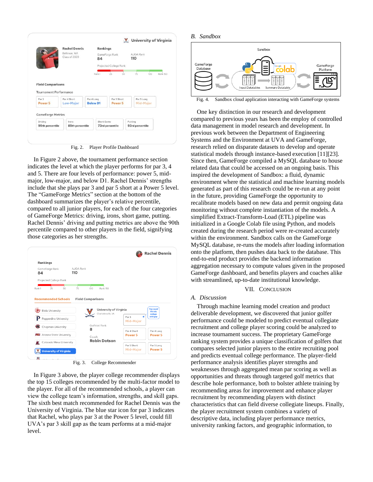<span id="page-5-0"></span>

|                                                           | <b>Rachel Dennis</b>          |                               | Rankings                          |    |                            |     |          |
|-----------------------------------------------------------|-------------------------------|-------------------------------|-----------------------------------|----|----------------------------|-----|----------|
|                                                           | Bellevue, WA<br>Class of 2020 | 84                            | GameForge Rank                    |    | AJGA Rank<br>110           |     |          |
|                                                           |                               |                               | Projected College Rank            |    |                            |     |          |
|                                                           |                               | Rank 1                        | $25 -$                            | 50 | 75                         | 100 | Rank 150 |
| <b>Field Comparisons</b><br><b>Tournament Performance</b> |                               |                               |                                   |    |                            |     |          |
| Par 3<br>Power <sub>5</sub>                               | Par 4 Short<br>Low-Major      | Par 4 Long<br><b>Below D1</b> | Par 5 Short<br>Power <sub>5</sub> |    | Par 5 Long<br>Mid-Major    |     |          |
| <b>GameForge Metrics</b><br>Driving<br>95th percentile    | Irons<br>85th percentile      |                               | Short Game<br>73rd percentile     |    | Putting<br>93rd percentile |     |          |

Fig. 2. Player Profile Dashboard

In [Figure 2 above,](#page-5-0) the tournament performance section indicates the level at which the player performs for par 3, 4 and 5. There are four levels of performance: power 5, midmajor, low-major, and below D1. Rachel Dennis' strengths include that she plays par 3 and par 5 short at a Power 5 level. The "GameForge Metrics" section at the bottom of the dashboard summarizes the player's relative percentile, compared to all junior players, for each of the four categories of GameForge Metrics: driving, irons, short game, putting. Rachel Dennis' driving and putting metrics are above the 90th percentile compared to other players in the field, signifying those categories as her strengths.

<span id="page-5-1"></span>

| Rankings                            |                          |                                               |                                   |                                                 |
|-------------------------------------|--------------------------|-----------------------------------------------|-----------------------------------|-------------------------------------------------|
| GameForge Rank<br>84                | AJGA Rank<br>110         |                                               |                                   |                                                 |
| Projected College Rank              |                          |                                               |                                   |                                                 |
| 25<br>50<br>Rank 1                  | 75<br>100                | Rank 150                                      |                                   |                                                 |
| <b>Recommended Schools</b>          | <b>Field Comparisons</b> |                                               |                                   |                                                 |
| <b>Biola University</b>             |                          | University of Virginia<br>Charlottesville, VA |                                   | <b>You could</b><br><b>fill this</b><br>college |
| Pepperdine University               |                          |                                               | Par 3<br><b>Mid-Major</b>         | ×<br>skill gap                                  |
| Chapman University                  | 8                        | Golfstat Rank                                 |                                   |                                                 |
| <b>ASU</b> Arizona State University |                          |                                               | Par 4 Short<br>Power <sub>5</sub> | Par 4 Long<br>Power <sub>5</sub>                |
| Colorado Mesa University            | Coach                    | <b>Robin Dotson</b>                           |                                   |                                                 |
| <b>University of Virginia</b>       |                          |                                               | Par 5 Short<br><b>Mid-Major</b>   | Par 5 Long<br>Power <sub>5</sub>                |

Fig. 3. College Recommender

In [Figure 3 above,](#page-5-1) the player college recommender displays the top 15 colleges recommended by the multi-factor model to the player. For all of the recommended schools, a player can view the college team's information, strengths, and skill gaps. The sixth best match recommended for Rachel Dennis was the University of Virginia. The blue star icon for par 3 indicates that Rachel, who plays par 3 at the Power 5 level, could fill UVA's par 3 skill gap as the team performs at a mid-major level.

#### *B. Sandbox*



Fig. 4. Sandbox cloud application interacting with GameForge systems

One key distinction in our research and development compared to previous years has been the employ of controlled data management in model research and development. In previous work between the Department of Engineering Systems and the Environment at UVA and GameForge, research relied on disparate datasets to develop and operate statistical models through instance-based executio[n \[11\]](#page-6-10)[\[23\].](#page-6-22)  Since then, GameForge compiled a MySQL database to house related data that could be accessed on an ongoing basis. This inspired the development of Sandbox: a fluid, dynamic environment where the statistical and machine learning models generated as part of this research could be re-run at any point in the future, providing GameForge the opportunity to recalibrate models based on new data and permit ongoing data monitoring without complete instantiation of the models. A simplified Extract-Transform-Load (ETL) pipeline was initialized in a Google Colab file using Python, and models created during the research period were re-created accurately within the environment. Sandbox calls on the GameForge MySQL database, re-runs the models after loading information onto the platform, then pushes data back to the database. This end-to-end product provides the backend information aggregation necessary to compute values given in the proposed GameForge dashboard, and benefits players and coaches alike with streamlined, up-to-date institutional knowledge.

#### VII. CONCLUSION

#### *A. Discussion*

Through machine learning model creation and product deliverable development, we discovered that junior golfer performance could be modeled to predict eventual collegiate recruitment and college player scoring could be analyzed to increase tournament success. The proprietary GameForge ranking system provides a unique classification of golfers that compares selected junior players to the entire recruiting pool and predicts eventual college performance. The player-field performance analysis identifies player strengths and weaknesses through aggregated mean par scoring as well as opportunities and threats through targeted golf metrics that describe hole performance, both to bolster athlete training by recommending areas for improvement and enhance player recruitment by recommending players with distinct characteristics that can field diverse collegiate lineups. Finally, the player recruitment system combines a variety of descriptive data, including player performance metrics, university ranking factors, and geographic information, to